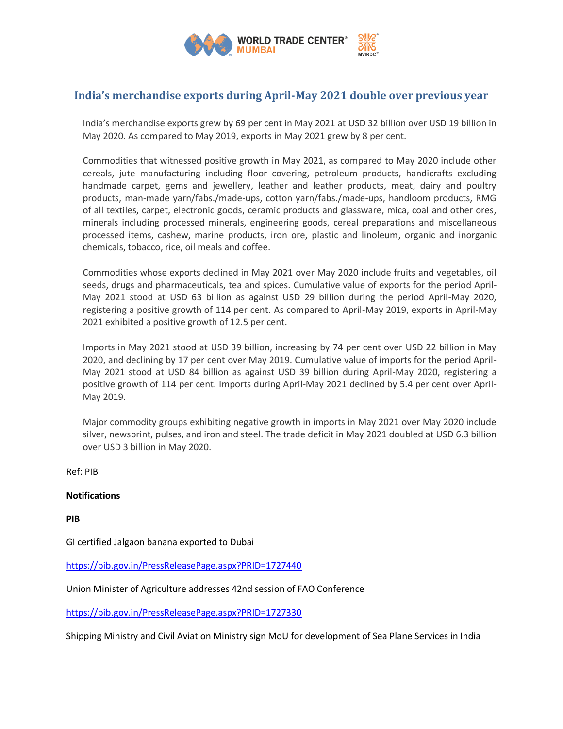

## **India's merchandise exports during April-May 2021 double over previous year**

India's merchandise exports grew by 69 per cent in May 2021 at USD 32 billion over USD 19 billion in May 2020. As compared to May 2019, exports in May 2021 grew by 8 per cent.

Commodities that witnessed positive growth in May 2021, as compared to May 2020 include other cereals, jute manufacturing including floor covering, petroleum products, handicrafts excluding handmade carpet, gems and jewellery, leather and leather products, meat, dairy and poultry products, man-made yarn/fabs./made-ups, cotton yarn/fabs./made-ups, handloom products, RMG of all textiles, carpet, electronic goods, ceramic products and glassware, mica, coal and other ores, minerals including processed minerals, engineering goods, cereal preparations and miscellaneous processed items, cashew, marine products, iron ore, plastic and linoleum, organic and inorganic chemicals, tobacco, rice, oil meals and coffee.

Commodities whose exports declined in May 2021 over May 2020 include fruits and vegetables, oil seeds, drugs and pharmaceuticals, tea and spices. Cumulative value of exports for the period April-May 2021 stood at USD 63 billion as against USD 29 billion during the period April-May 2020, registering a positive growth of 114 per cent. As compared to April-May 2019, exports in April-May 2021 exhibited a positive growth of 12.5 per cent.

Imports in May 2021 stood at USD 39 billion, increasing by 74 per cent over USD 22 billion in May 2020, and declining by 17 per cent over May 2019. Cumulative value of imports for the period April-May 2021 stood at USD 84 billion as against USD 39 billion during April-May 2020, registering a positive growth of 114 per cent. Imports during April-May 2021 declined by 5.4 per cent over April-May 2019.

Major commodity groups exhibiting negative growth in imports in May 2021 over May 2020 include silver, newsprint, pulses, and iron and steel. The trade deficit in May 2021 doubled at USD 6.3 billion over USD 3 billion in May 2020.

Ref: PIB

## **Notifications**

**PIB**

GI certified Jalgaon banana exported to Dubai

<https://pib.gov.in/PressReleasePage.aspx?PRID=1727440>

Union Minister of Agriculture addresses 42nd session of FAO Conference

<https://pib.gov.in/PressReleasePage.aspx?PRID=1727330>

Shipping Ministry and Civil Aviation Ministry sign MoU for development of Sea Plane Services in India